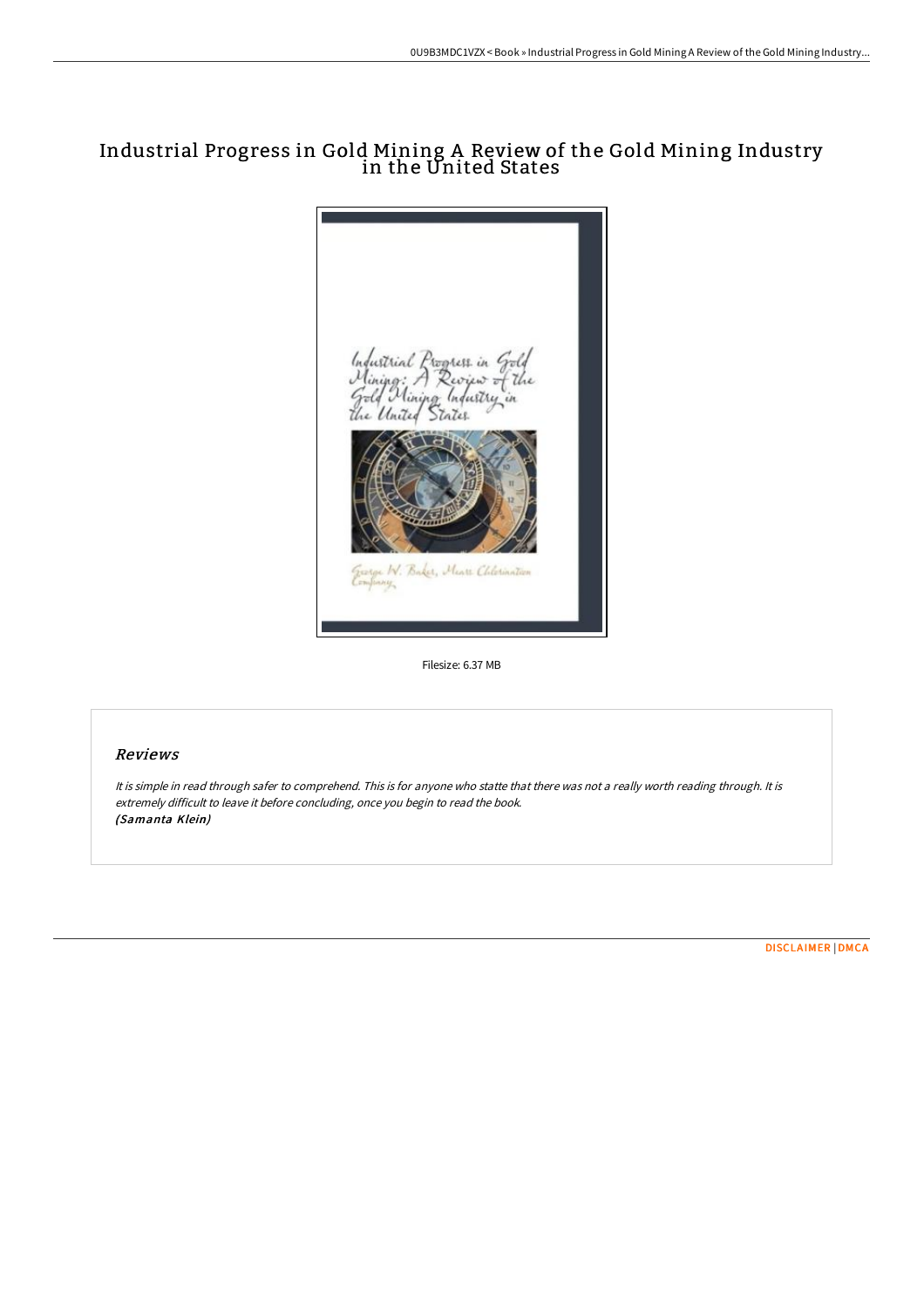# Industrial Progress in Gold Mining A Review of the Gold Mining Industry in the United States



Filesize: 6.37 MB

## Reviews

It is simple in read through safer to comprehend. This is for anyone who statte that there was not <sup>a</sup> really worth reading through. It is extremely difficult to leave it before concluding, once you begin to read the book. (Samanta Klein)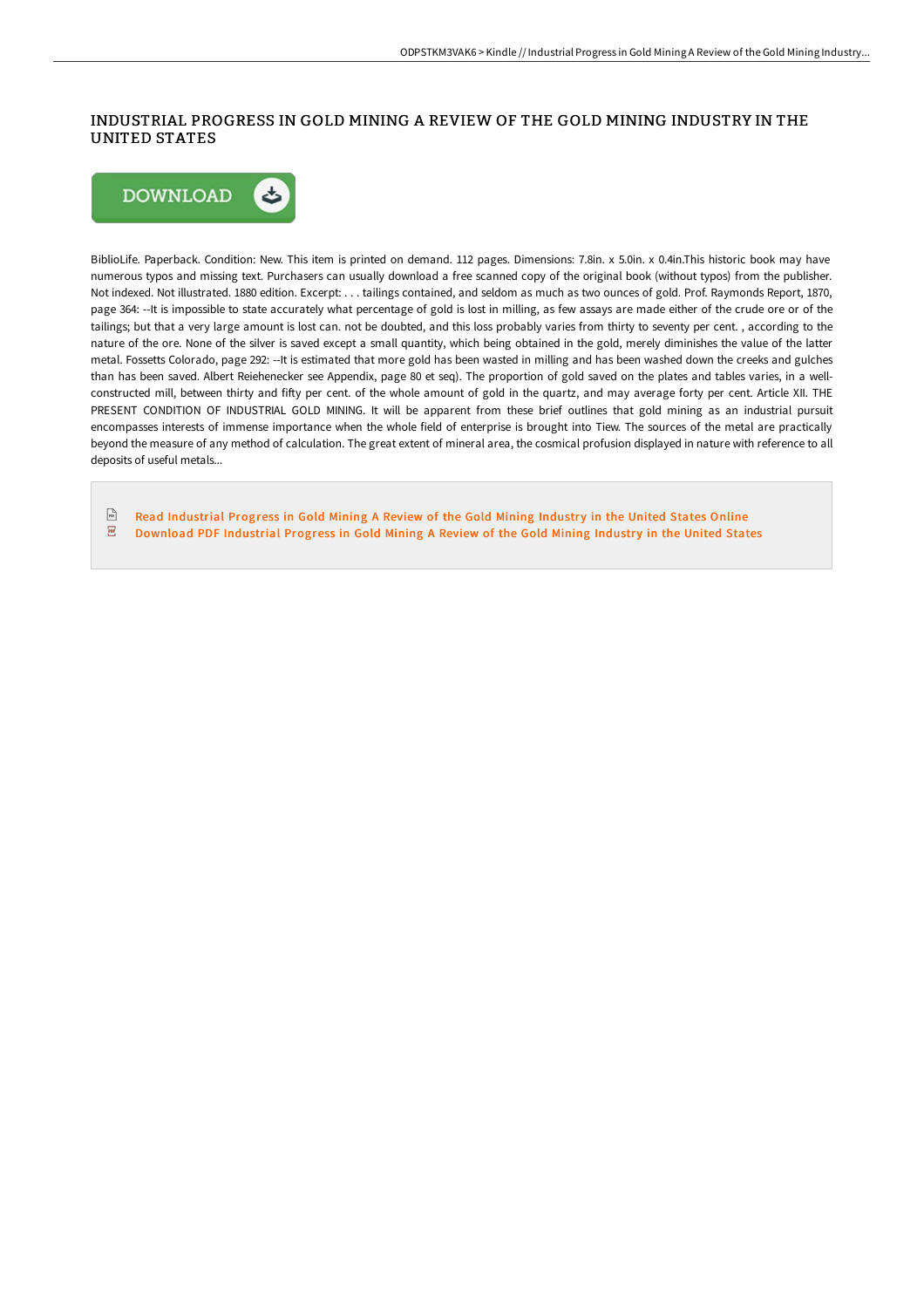## INDUSTRIAL PROGRESS IN GOLD MINING A REVIEW OF THE GOLD MINING INDUSTRY IN THE UNITED STATES



BiblioLife. Paperback. Condition: New. This item is printed on demand. 112 pages. Dimensions: 7.8in. x 5.0in. x 0.4in.This historic book may have numerous typos and missing text. Purchasers can usually download a free scanned copy of the original book (without typos) from the publisher. Not indexed. Not illustrated. 1880 edition. Excerpt: . . . tailings contained, and seldom as much as two ounces of gold. Prof. Raymonds Report, 1870, page 364: --It is impossible to state accurately what percentage of gold is lost in milling, as few assays are made either of the crude ore or of the tailings; but that a very large amount is lost can. not be doubted, and this loss probably varies from thirty to seventy per cent. , according to the nature of the ore. None of the silver is saved except a small quantity, which being obtained in the gold, merely diminishes the value of the latter metal. Fossetts Colorado, page 292: --It is estimated that more gold has been wasted in milling and has been washed down the creeks and gulches than has been saved. Albert Reiehenecker see Appendix, page 80 et seq). The proportion of gold saved on the plates and tables varies, in a wellconstructed mill, between thirty and fifty per cent. of the whole amount of gold in the quartz, and may average forty per cent. Article XII. THE PRESENT CONDITION OF INDUSTRIAL GOLD MINING. It will be apparent from these brief outlines that gold mining as an industrial pursuit encompasses interests of immense importance when the whole field of enterprise is brought into Tiew. The sources of the metal are practically beyond the measure of any method of calculation. The great extent of mineral area, the cosmical profusion displayed in nature with reference to all deposits of useful metals...

 $\frac{1}{100}$ Read [Industrial](http://techno-pub.tech/industrial-progress-in-gold-mining-a-review-of-t.html) Progress in Gold Mining A Review of the Gold Mining Industry in the United States Online  $\overline{\mathbf{P}\mathbf{D}^2}$ [Download](http://techno-pub.tech/industrial-progress-in-gold-mining-a-review-of-t.html) PDF Industrial Progress in Gold Mining A Review of the Gold Mining Industry in the United States